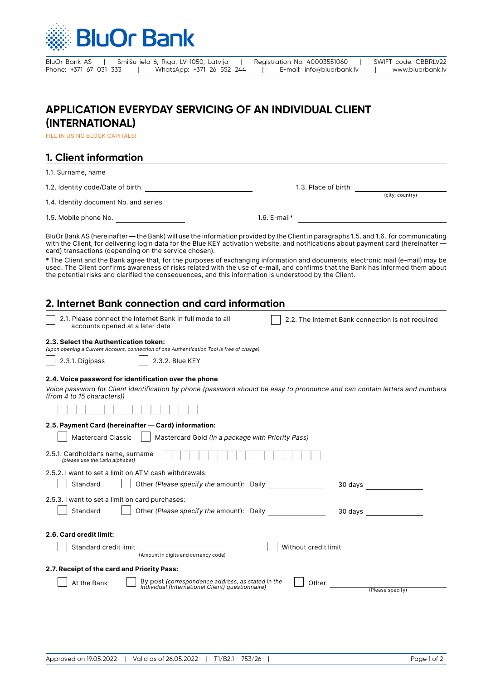

| BluOr Bank AS          |  |  | Smilšu iela 6, Rīga, LV-1050, Latvija |  | Registration No. 40003551060 |  | SWIFT code: CBBRLV22 |
|------------------------|--|--|---------------------------------------|--|------------------------------|--|----------------------|
| Phone: +371 67 031 333 |  |  | WhatsApp: +371 26 552 244             |  | E-mail: info@bluorbank.lv    |  | www.bluorbank.lv     |

# **APPLICATION EVERYDAY SERVICING OF AN INDIVIDUAL CLIENT (INTERNATIONAL)**

FILL IN USING BLOCK CAPITALS!

# **1. Client information**

| 1.1. Surname, name                    |                     |                 |
|---------------------------------------|---------------------|-----------------|
| 1.2. Identity code/Date of birth      | 1.3. Place of birth |                 |
| 1.4. Identity document No. and series |                     | (city, country) |
| 1.5. Mobile phone No.                 | 1.6. $E$ -mail*     |                 |

BluOr Bank AS (hereinafter — the Bank) will use the information provided by the Client in paragraphs 1.5. and 1.6. for communicating with the Client, for delivering login data for the Blue KEY activation website, and notifications about payment card (hereinafter card) transactions (depending on the service chosen).

\* The Client and the Bank agree that, for the purposes of exchanging information and documents, electronic mail (e-mail) may be used. The Client confirms awareness of risks related with the use of e-mail, and confirms that the Bank has informed them about the potential risks and clarified the consequences, and this information is understood by the Client.

### **2. Internet Bank connection and card information**

| 2.1. Please connect the Internet Bank in full mode to all | $\vert\;\;\vert\;$ 2.2. The Internet Bank connection is not required |
|-----------------------------------------------------------|----------------------------------------------------------------------|
| accounts opened at a later date                           |                                                                      |

#### **2.3. Select the Authentication token:**

*(upon opening a Current Account, connection of one Authentication Tool is free of charge)*

2.3.1. Digipass | 2.3.2. Blue KEY

### **2.4. Voice password for identification over the phone**

*Voice password for Client identification by phone (password should be easy to pronounce and can contain letters and numbers (from 4 to 15 characters))*

### **2.5. Payment Card (hereinafter — Card) information:**

| <b>Mastercard Classic</b><br>Mastercard Gold (In a package with Priority Pass)                                                |
|-------------------------------------------------------------------------------------------------------------------------------|
| 2.5.1. Cardholder's name, surname<br>(please use the Latin alphabet)                                                          |
| 2.5.2. I want to set a limit on ATM cash withdrawals:                                                                         |
| Other (Please specify the amount): Daily<br>Standard<br>30 days                                                               |
| 2.5.3. I want to set a limit on card purchases:                                                                               |
| Other (Please specify the amount): Daily<br>Standard<br>30 days                                                               |
| 2.6. Card credit limit:                                                                                                       |
| Standard credit limit<br>Without credit limit<br>(Amount in digits and currency code)                                         |
| 2.7. Receipt of the card and Priority Pass:                                                                                   |
| By post (correspondence address, as stated in the<br>At the Bank<br>Other<br>Individual (International Client) questionnaire) |
| (Please specify)                                                                                                              |
|                                                                                                                               |